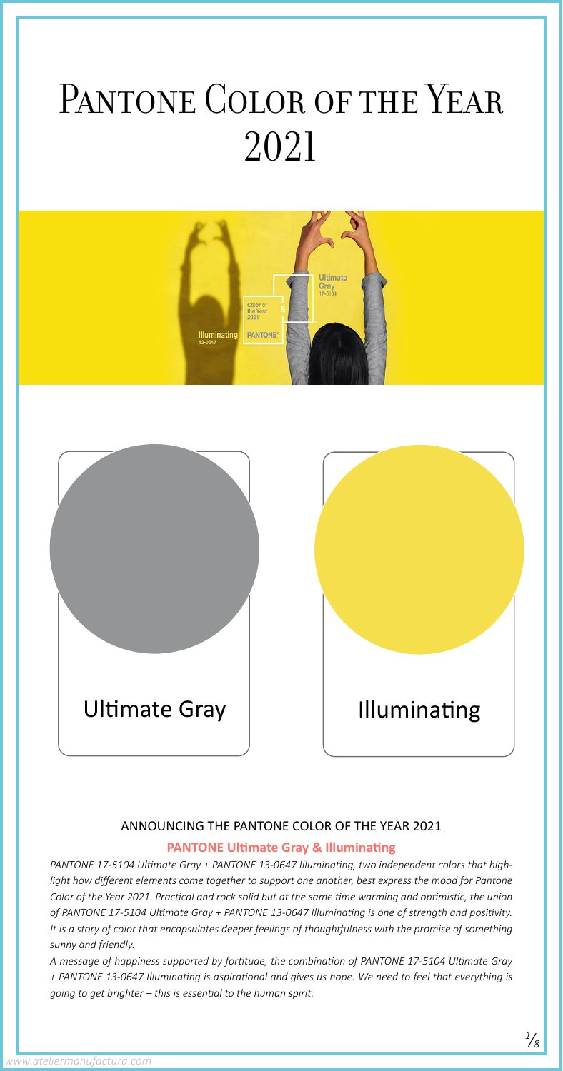ANNOUNCING THE PANTONE COLOR OF THE YEAR 2021 **PANTONE Ultimate Gray & Illuminating**

*PANTONE 17-5104 Ultimate Gray + PANTONE 13-0647 Illuminating, two independent colors that highlight how different elements come together to support one another, best express the mood for Pantone Color of the Year 2021. Practical and rock solid but at the same time warming and optimistic, the union of PANTONE 17-5104 Ultimate Gray + PANTONE 13-0647 Illuminating is one of strength and positivity. It is a story of color that encapsulates deeper feelings of thoughtfulness with the promise of something sunny and friendly. A message of happiness supported by fortitude, the combination of PANTONE 17-5104 Ultimate Gray* 



# PANTONE COLOR OF THE YEAR 2021



*+ PANTONE 13-0647 Illuminating is aspirational and gives us hope. We need to feel that everything is going to get brighter – this is essential to the human spirit.*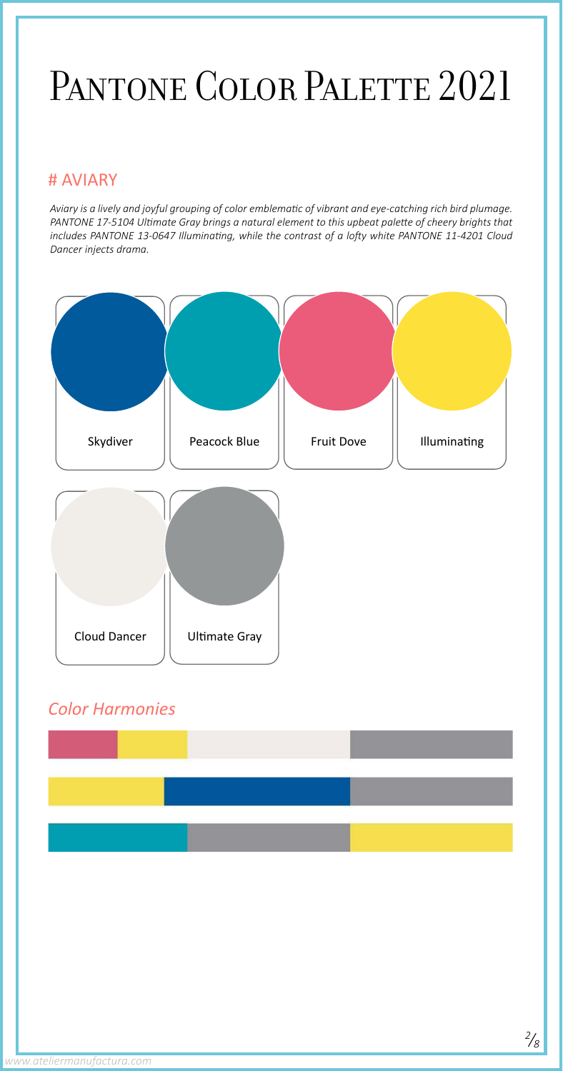*2 /8*



*Aviary is a lively and joyful grouping of color emblematic of vibrant and eye-catching rich bird plumage. PANTONE 17-5104 Ultimate Gray brings a natural element to this upbeat palette of cheery brights that includes PANTONE 13-0647 Illuminating, while the contrast of a lofty white PANTONE 11-4201 Cloud Dancer injects drama.*



# PANTONE COLOR PALETTE 2021

### # AVIARY

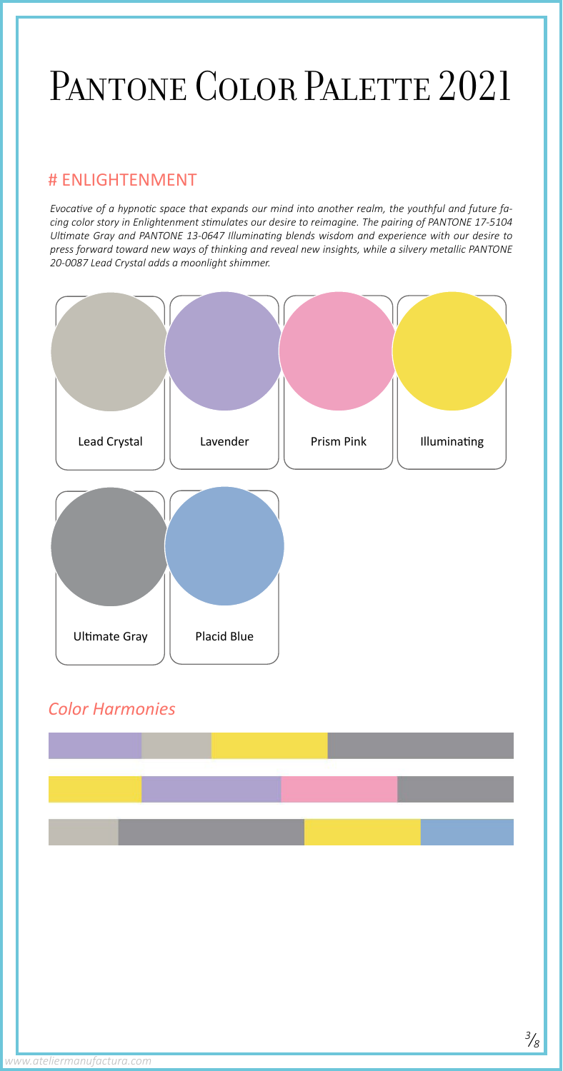*3 /8*



*Evocative of a hypnotic space that expands our mind into another realm, the youthful and future facing color story in Enlightenment stimulates our desire to reimagine. The pairing of PANTONE 17-5104 Ultimate Gray and PANTONE 13-0647 Illuminating blends wisdom and experience with our desire to press forward toward new ways of thinking and reveal new insights, while a silvery metallic PANTONE 20-0087 Lead Crystal adds a moonlight shimmer.*

# PANTONE COLOR PALETTE 2021

#### # ENLIGHTENMENT

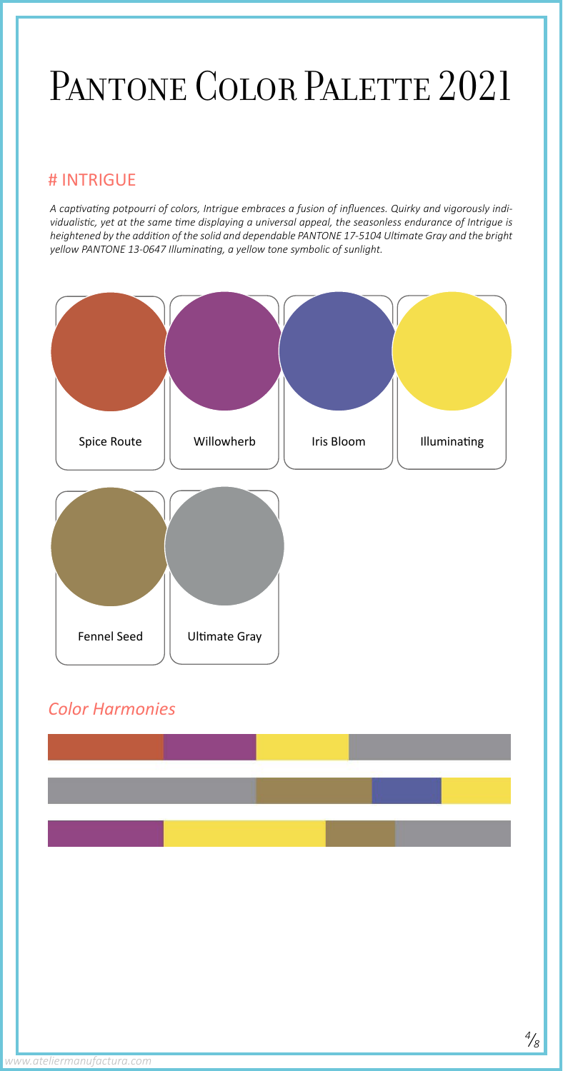*4 /8*



*A captivating potpourri of colors, Intrigue embraces a fusion of influences. Quirky and vigorously individualistic, yet at the same time displaying a universal appeal, the seasonless endurance of Intrigue is heightened by the addition of the solid and dependable PANTONE 17-5104 Ultimate Gray and the bright yellow PANTONE 13-0647 Illuminating, a yellow tone symbolic of sunlight.*

## PANTONE COLOR PALETTE 2021

#### # INTRIGUE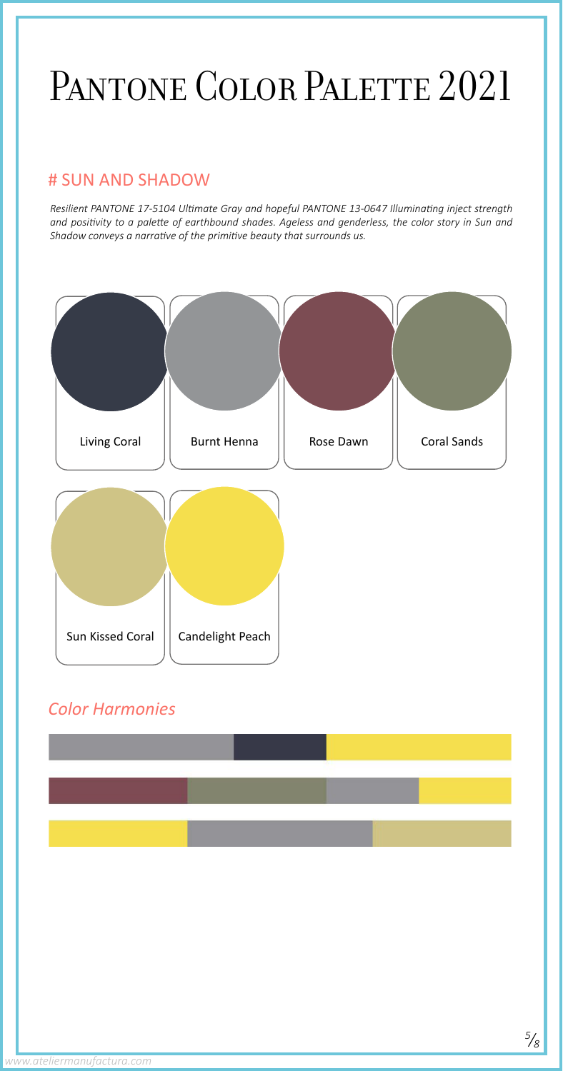

*Resilient PANTONE 17-5104 Ultimate Gray and hopeful PANTONE 13-0647 Illuminating inject strength and positivity to a palette of earthbound shades. Ageless and genderless, the color story in Sun and Shadow conveys a narrative of the primitive beauty that surrounds us.* 

*www.ateliermanufactura.com*

# PANTONE COLOR PALETTE 2021

### # SUN AND SHADOW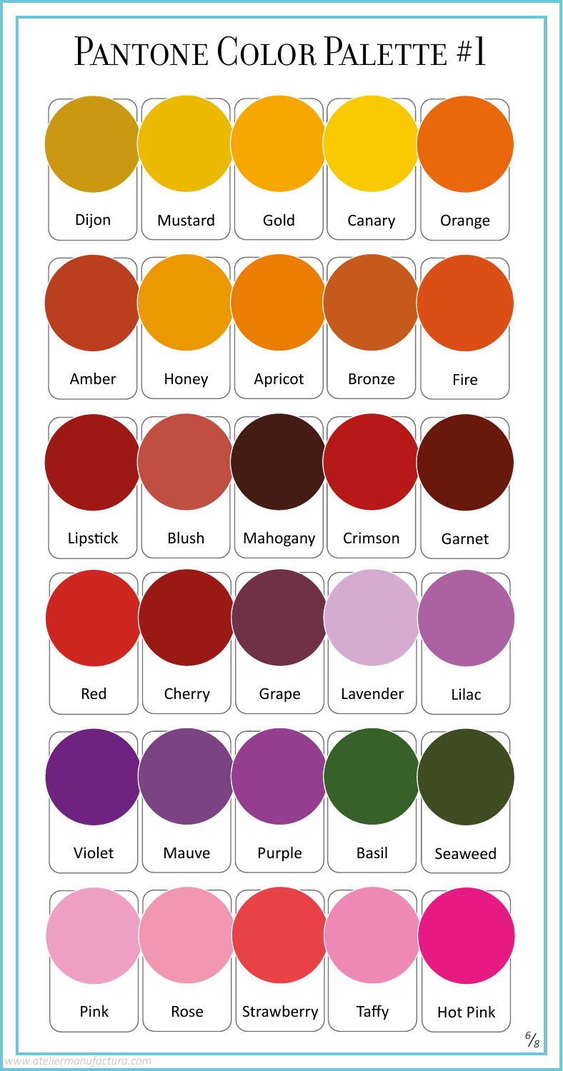### PANTONE COLOR PALETTE #1

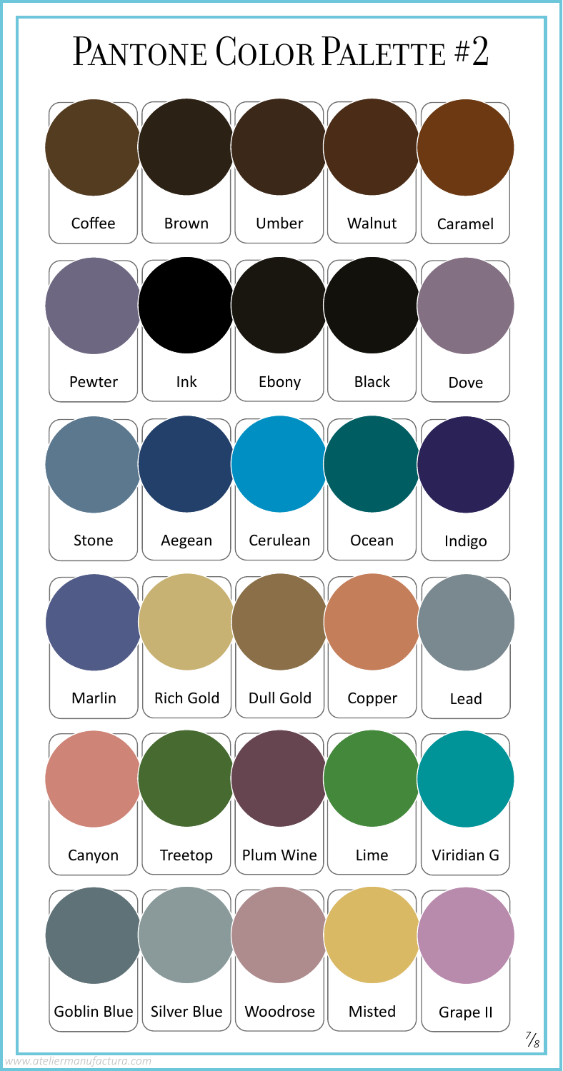# PANTONE COLOR PALETTE #2



*www.ateliermanufactura.com*